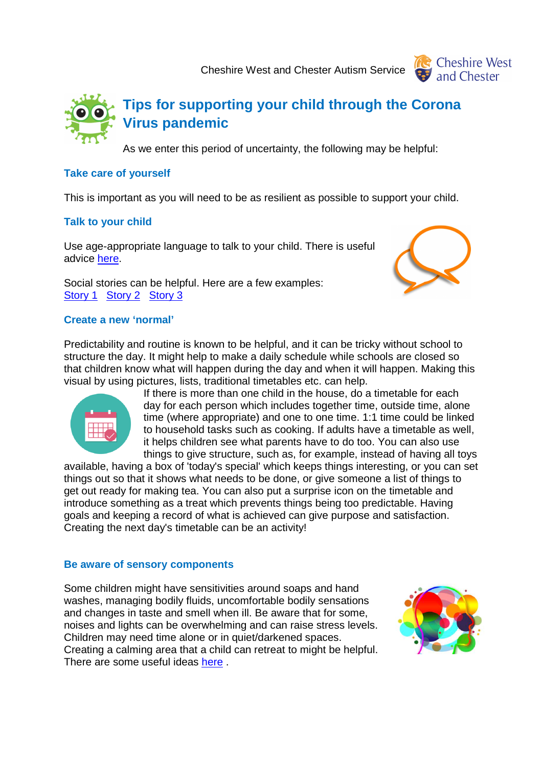Cheshire West and Chester Autism Service





As we enter this period of uncertainty, the following may be helpful:

## **Take care of yourself**

This is important as you will need to be as resilient as possible to support your child.

## **Talk to your child**

Use age-appropriate language to talk to your child. There is useful advice here.

Social stories can be helpful. Here are a few examples: Story 1 Story 2 Story 3



Predictability and routine is known to be helpful, and it can be tricky without school to structure the day. It might help to make a daily schedule while schools are closed so that children know what will happen during the day and when it will happen. Making this visual by using pictures, lists, traditional timetables etc. can help.



If there is more than one child in the house, do a timetable for each day for each person which includes together time, outside time, alone time (where appropriate) and one to one time. 1:1 time could be linked to household tasks such as cooking. If adults have a timetable as well, it helps children see what parents have to do too. You can also use things to give structure, such as, for example, instead of having all toys

available, having a box of 'today's special' which keeps things interesting, or you can set things out so that it shows what needs to be done, or give someone a list of things to get out ready for making tea. You can also put a surprise icon on the timetable and introduce something as a treat which prevents things being too predictable. Having goals and keeping a record of what is achieved can give purpose and satisfaction. Creating the next day's timetable can be an activity!

## **Be aware of sensory components**

Some children might have sensitivities around soaps and hand washes, managing bodily fluids, uncomfortable bodily sensations and changes in taste and smell when ill. Be aware that for some, noises and lights can be overwhelming and can raise stress levels. Children may need time alone or in quiet/darkened spaces. Creating a calming area that a child can retreat to might be helpful. There are some useful ideas here .